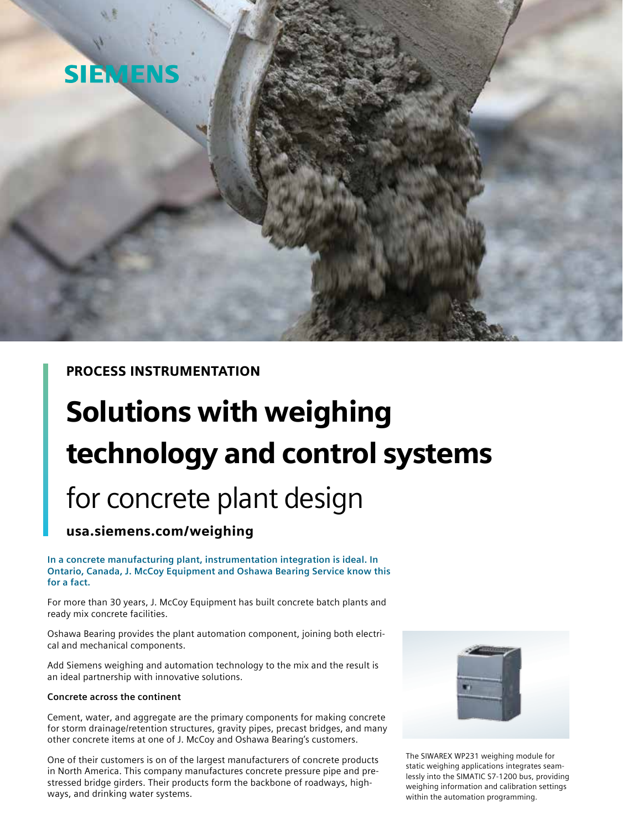

PROCESS INSTRUMENTATION

# Solutions with weighing technology and control systems

## for concrete plant design

### usa.siemens.com/weighing

**In a concrete manufacturing plant, instrumentation integration is ideal. In Ontario, Canada, J. McCoy Equipment and Oshawa Bearing Service know this for a fact.** 

For more than 30 years, J. McCoy Equipment has built concrete batch plants and ready mix concrete facilities.

Oshawa Bearing provides the plant automation component, joining both electrical and mechanical components.

Add Siemens weighing and automation technology to the mix and the result is an ideal partnership with innovative solutions.

#### **Concrete across the continent**

Cement, water, and aggregate are the primary components for making concrete for storm drainage/retention structures, gravity pipes, precast bridges, and many other concrete items at one of J. McCoy and Oshawa Bearing's customers.

One of their customers is on of the largest manufacturers of concrete products in North America. This company manufactures concrete pressure pipe and prestressed bridge girders. Their products form the backbone of roadways, highways, and drinking water systems.



The SIWAREX WP231 weighing module for static weighing applications integrates seamlessly into the SIMATIC S7-1200 bus, providing weighing information and calibration settings within the automation programming.